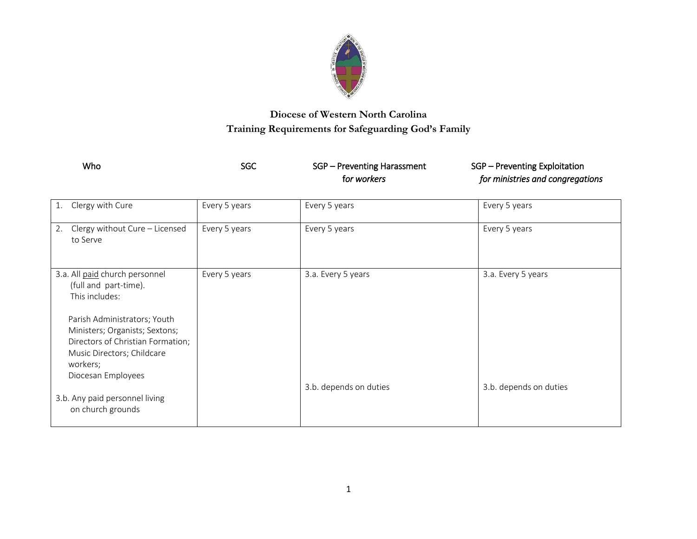

## **Diocese of Western North Carolina Training Requirements for Safeguarding God's Family**

| Who                                                 | SGC             | SGP - Preventing Harassment<br>for workers | SGP - Preventing Exploitation<br>for ministries and congregations |
|-----------------------------------------------------|-----------------|--------------------------------------------|-------------------------------------------------------------------|
| 1. Clergy with Cure                                 | Every 5 years   | Every 5 years                              | Every 5 years                                                     |
| 2. Clergy without Cure - Licensed<br>to Serve       | Every 5 years   | Every 5 years                              | Every 5 years                                                     |
| <b>Contract Allensists International Activities</b> | Foreign Foreign | 9. F. F.                                   | 9. . <b>F. F</b> .                                                |

| 3.a. All paid church personnel<br>(full and part-time).             | Every 5 years | 3.a. Every 5 years     | 3.a. Every 5 years     |
|---------------------------------------------------------------------|---------------|------------------------|------------------------|
| This includes:                                                      |               |                        |                        |
| Parish Administrators; Youth                                        |               |                        |                        |
| Ministers; Organists; Sextons;<br>Directors of Christian Formation; |               |                        |                        |
| Music Directors; Childcare<br>workers;                              |               |                        |                        |
| Diocesan Employees                                                  |               |                        |                        |
| 3.b. Any paid personnel living<br>on church grounds                 |               | 3.b. depends on duties | 3.b. depends on duties |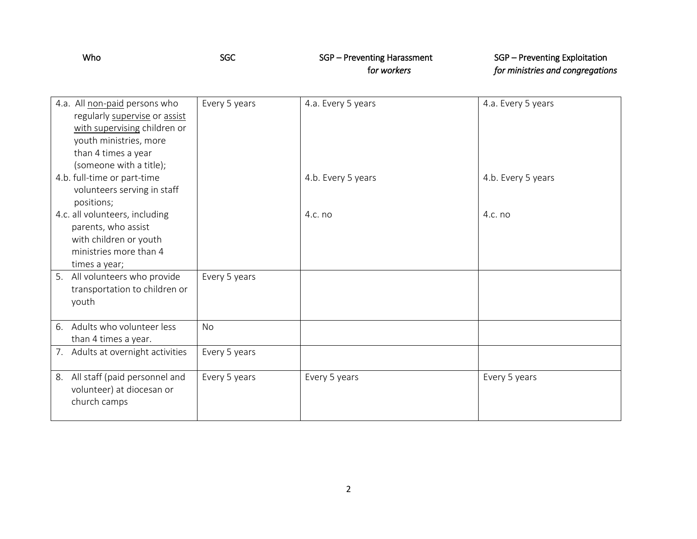| Who | SGC | SGP – Preventing Harassment | SGP – Preventing Exploitation    |
|-----|-----|-----------------------------|----------------------------------|
|     |     | for workers                 | for ministries and congregations |

| 4.a. All non-paid persons who        | Every 5 years | 4.a. Every 5 years | 4.a. Every 5 years |
|--------------------------------------|---------------|--------------------|--------------------|
| regularly supervise or assist        |               |                    |                    |
| with supervising children or         |               |                    |                    |
| youth ministries, more               |               |                    |                    |
| than 4 times a year                  |               |                    |                    |
| (someone with a title);              |               |                    |                    |
| 4.b. full-time or part-time          |               | 4.b. Every 5 years | 4.b. Every 5 years |
| volunteers serving in staff          |               |                    |                    |
| positions;                           |               |                    |                    |
| 4.c. all volunteers, including       |               | 4.c. no            | $4.c.$ no          |
| parents, who assist                  |               |                    |                    |
| with children or youth               |               |                    |                    |
| ministries more than 4               |               |                    |                    |
| times a year;                        |               |                    |                    |
| 5.<br>All volunteers who provide     | Every 5 years |                    |                    |
| transportation to children or        |               |                    |                    |
| youth                                |               |                    |                    |
|                                      |               |                    |                    |
| 6. Adults who volunteer less         | <b>No</b>     |                    |                    |
| than 4 times a year.                 |               |                    |                    |
| Adults at overnight activities<br>7. | Every 5 years |                    |                    |
|                                      |               |                    |                    |
| All staff (paid personnel and<br>8.  | Every 5 years | Every 5 years      | Every 5 years      |
| volunteer) at diocesan or            |               |                    |                    |
| church camps                         |               |                    |                    |
|                                      |               |                    |                    |